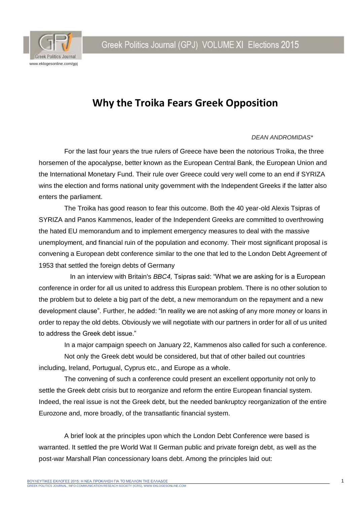Greek Politics Journal (GPJ) VOLUME XI Elections 2015



# **Why the Troika Fears Greek Opposition**

#### *DEAN ANDROMIDAS\**

For the last four years the true rulers of Greece have been the notorious Troika, the three horsemen of the apocalypse, better known as the European Central Bank, the European Union and the International Monetary Fund. Their rule over Greece could very well come to an end if SYRIZA wins the election and forms national unity government with the Independent Greeks if the latter also enters the parliament.

The Troika has good reason to fear this outcome. Both the 40 year-old Alexis Tsipras of SYRIZA and Panos Kammenos, leader of the Independent Greeks are committed to overthrowing the hated EU memorandum and to implement emergency measures to deal with the massive unemployment, and financial ruin of the population and economy. Their most significant proposal is convening a European debt conference similar to the one that led to the London Debt Agreement of 1953 that settled the foreign debts of Germany

 In an interview with Britain's *BBC4,* Tsipras said: "What we are asking for is a European conference in order for all us united to address this European problem. There is no other solution to the problem but to delete a big part of the debt, a new memorandum on the repayment and a new development clause". Further, he added: "In reality we are not asking of any more money or loans in order to repay the old debts. Obviously we will negotiate with our partners in order for all of us united to address the Greek debt issue."

In a major campaign speech on January 22, Kammenos also called for such a conference.

Not only the Greek debt would be considered, but that of other bailed out countries including, Ireland, Portugual, Cyprus etc., and Europe as a whole.

The convening of such a conference could present an excellent opportunity not only to settle the Greek debt crisis but to reorganize and reform the entire European financial system. Indeed, the real issue is not the Greek debt, but the needed bankruptcy reorganization of the entire Eurozone and, more broadly, of the transatlantic financial system.

A brief look at the principles upon which the London Debt Conference were based is warranted. It settled the pre World Wat II German public and private foreign debt, as well as the post-war Marshall Plan concessionary loans debt. Among the principles laid out: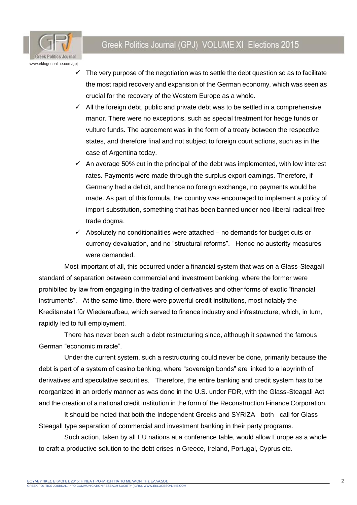

## Greek Politics Journal (GPJ) VOLUME XI Elections 2015

- The very purpose of the negotiation was to settle the debt question so as to facilitate the most rapid recovery and expansion of the German economy, which was seen as crucial for the recovery of the Western Europe as a whole.
- $\checkmark$  All the foreign debt, public and private debt was to be settled in a comprehensive manor. There were no exceptions, such as special treatment for hedge funds or vulture funds. The agreement was in the form of a treaty between the respective states, and therefore final and not subject to foreign court actions, such as in the case of Argentina today.
- $\checkmark$  An average 50% cut in the principal of the debt was implemented, with low interest rates. Payments were made through the surplus export earnings. Therefore, if Germany had a deficit, and hence no foreign exchange, no payments would be made. As part of this formula, the country was encouraged to implement a policy of import substitution, something that has been banned under neo-liberal radical free trade dogma.
- $\checkmark$  Absolutely no conditionalities were attached no demands for budget cuts or currency devaluation, and no "structural reforms". Hence no austerity measures were demanded.

Most important of all, this occurred under a financial system that was on a Glass-Steagall standard of separation between commercial and investment banking, where the former were prohibited by law from engaging in the trading of derivatives and other forms of exotic "financial instruments". At the same time, there were powerful credit institutions, most notably the Kreditanstalt für Wiederaufbau, which served to finance industry and infrastructure, which, in turn, rapidly led to full employment.

There has never been such a debt restructuring since, although it spawned the famous German "economic miracle".

Under the current system, such a restructuring could never be done, primarily because the debt is part of a system of casino banking, where "sovereign bonds" are linked to a labyrinth of derivatives and speculative securities. Therefore, the entire banking and credit system has to be reorganized in an orderly manner as was done in the U.S. under FDR, with the Glass-Steagall Act and the creation of a national credit institution in the form of the Reconstruction Finance Corporation.

It should be noted that both the Independent Greeks and SYRIZA both call for Glass Steagall type separation of commercial and investment banking in their party programs.

Such action, taken by all EU nations at a conference table, would allow Europe as a whole to craft a productive solution to the debt crises in Greece, Ireland, Portugal, Cyprus etc.